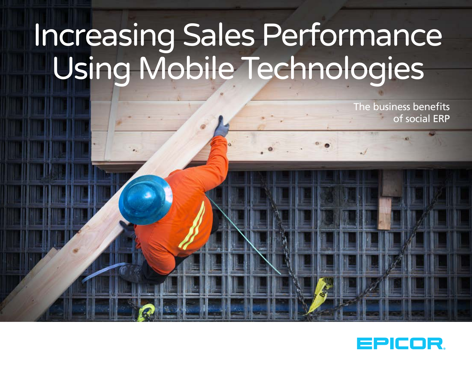# Increasing Sales Performance Using Mobile Technologies

The business benefits of social ERP

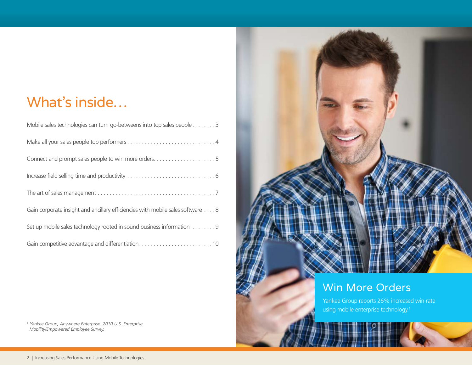# What's inside…

| Mobile sales technologies can turn go-betweens into top sales people3          |
|--------------------------------------------------------------------------------|
|                                                                                |
| Connect and prompt sales people to win more orders5                            |
|                                                                                |
|                                                                                |
| Gain corporate insight and ancillary efficiencies with mobile sales software 8 |
| Set up mobile sales technology rooted in sound business information 9          |
| Gain competitive advantage and differentiation10                               |



#### Win More Orders

Yankee Group reports 26% increased win rate using mobile enterprise technology. 1

<sup>1</sup> Yankee Group, Anywhere Enterprise: 2010 U.S. Enterprise *Mobility/Empowered Employee Survey.*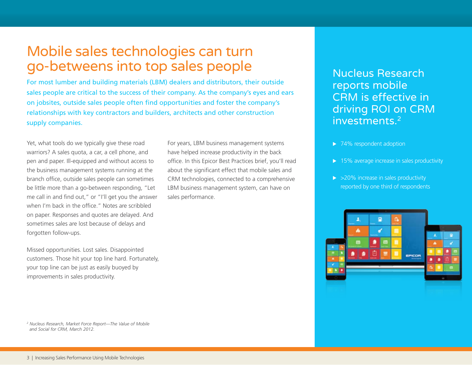#### Mobile sales technologies can turn go-betweens into top sales people

For most lumber and building materials (LBM) dealers and distributors, their outside sales people are critical to the success of their company. As the company's eyes and ears on jobsites, outside sales people often find opportunities and foster the company's relationships with key contractors and builders, architects and other construction supply companies.

Yet, what tools do we typically give these road warriors? A sales quota, a car, a cell phone, and pen and paper. Ill-equipped and without access to the business management systems running at the branch office, outside sales people can sometimes be little more than a go-between responding, "Let me call in and find out," or "I'll get you the answer when I'm back in the office." Notes are scribbled on paper. Responses and quotes are delayed. And sometimes sales are lost because of delays and forgotten follow-ups.

Missed opportunities. Lost sales. Disappointed customers. Those hit your top line hard. Fortunately, your top line can be just as easily buoyed by improvements in sales productivity.

For years, LBM business management systems have helped increase productivity in the back office. In this Epicor Best Practices brief, you'll read about the significant effect that mobile sales and CRM technologies, connected to a comprehensive LBM business management system, can have on sales performance.

Nucleus Research reports mobile CRM is effective in driving ROI on CRM investments.2

- $\blacktriangleright$  74% respondent adoption
- $\triangleright$  15% average increase in sales productivity
- $\triangleright$  >20% increase in sales productivity reported by one third of respondents



*2 Nucleus Research, Market Force Report—The Value of Mobile and Social for CRM, March 2012.*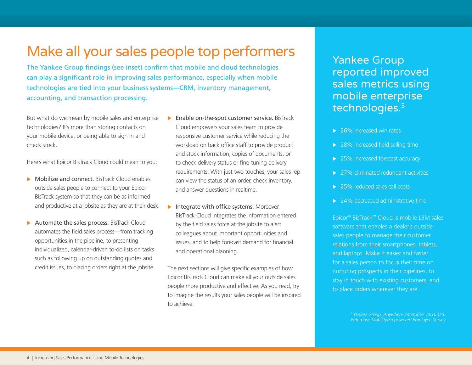### Make all your sales people top performers

The Yankee Group findings (see inset) confirm that mobile and cloud technologies can play a significant role in improving sales performance, especially when mobile technologies are tied into your business systems—CRM, inventory management, accounting, and transaction processing.

But what do we mean by mobile sales and enterprise technologies? It's more than storing contacts on your mobile device, or being able to sign in and check stock.

Here's what Epicor BisTrack Cloud could mean to you:

- $\triangleright$  Mobilize and connect. BisTrack Cloud enables outside sales people to connect to your Epicor BisTrack system so that they can be as informed and productive at a jobsite as they are at their desk.
- $\blacktriangleright$  Automate the sales process. BisTrack Cloud automates the field sales process—from tracking opportunities in the pipeline, to presenting individualized, calendar-driven to-do lists on tasks such as following up on outstanding quotes and credit issues, to placing orders right at the jobsite.
- $\blacktriangleright$  Enable on-the-spot customer service. BisTrack Cloud empowers your sales team to provide responsive customer service while reducing the workload on back office staff to provide product and stock information, copies of documents, or to check delivery status or fine-tuning delivery requirements. With just two touches, your sales rep can view the status of an order, check inventory, and answer questions in realtime.
- Integrate with office systems. Moreover, BisTrack Cloud integrates the information entered by the field sales force at the jobsite to alert colleagues about important opportunities and issues, and to help forecast demand for financial and operational planning.

The next sections will give specific examples of how Epicor BisTrack Cloud can make all your outside sales people more productive and effective. As you read, try to imagine the results your sales people will be inspired to achieve.

Yankee Group reported improved sales metrics using mobile enterprise technologies.3

- $\blacktriangleright$  26% increased win rates
- $\blacktriangleright$  28% increased field selling time
- $\blacktriangleright$  25% increased forecast accuracy
- $\triangleright$  27% eliminated redundant activities
- $\triangleright$  25% reduced sales call costs
- $\blacktriangleright$  24% decreased administrative time

Epicor® BisTrack™ Cloud is mobile LBM sales software that enables a dealer's outside sales people to manage their customer relations from their smartphones, tablets, and laptops. Make it easier and faster for a sales person to focus their time on nurturing prospects in their pipelines, to stay in touch with existing customers, and to place orders wherever they are.

> *3 Yankee Group, Anywhere Enterprise: 2010 U.S. Enterprise Mobility/Empowered Employee Survey*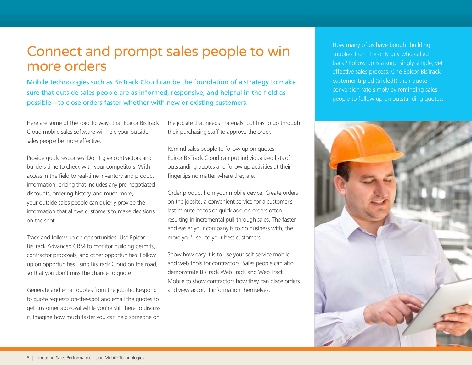#### Connect and prompt sales people to win more orders

Mobile technologies such as BisTrack Cloud can be the foundation of a strategy to make sure that outside sales people are as informed, responsive, and helpful in the field as possible—to close orders faster whether with new or existing customers.

Here are some of the specific ways that Epicor BisTrack Cloud mobile sales software will help your outside sales people be more effective:

Provide quick responses. Don't give contractors and builders time to check with your competitors. With access in the field to real-time inventory and product information, pricing that includes any pre-negotiated discounts, ordering history, and much more, your outside sales people can quickly provide the information that allows customers to make decisions on the spot.

Track and follow up on opportunities. Use Epicor BisTrack Advanced CRM to monitor building permits, contractor proposals, and other opportunities. Follow up on opportunities using BisTrack Cloud on the road, so that you don't miss the chance to quote.

Generate and email quotes from the jobsite. Respond to quote requests on-the-spot and email the quotes to get customer approval while you're still there to discuss it. Imagine how much faster you can help someone on

the jobsite that needs materials, but has to go through their purchasing staff to approve the order.

Remind sales people to follow up on quotes. Epicor BisTrack Cloud can put individualized lists of outstanding quotes and follow up activities at their fingertips no matter where they are.

Order product from your mobile device. Create orders on the jobsite, a convenient service for a customer's last-minute needs or quick add-on orders often resulting in incremental pull-through sales. The faster and easier your company is to do business with, the more you'll sell to your best customers.

Show how easy it is to use your self-service mobile and web tools for contractors. Sales people can also demonstrate BisTrack Web Track and Web Track Mobile to show contractors how they can place orders and view account information themselves.

How many of us have bought building supplies from the only guy who called back? Follow up is a surprisingly simple, yet effective sales process. One Epicor BisTrack customer tripled (tripled!) their quote conversion rate simply by reminding sales people to follow up on outstanding quotes.

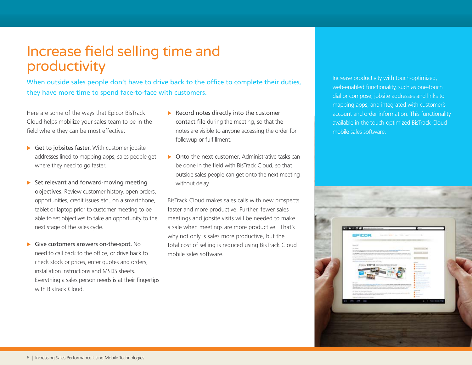### Increase field selling time and productivity

When outside sales people don't have to drive back to the office to complete their duties, they have more time to spend face-to-face with customers.

Here are some of the ways that Epicor BisTrack Cloud helps mobilize your sales team to be in the field where they can be most effective:

- $\triangleright$  Get to jobsites faster. With customer jobsite addresses lined to mapping apps, sales people get where they need to go faster.
- $\triangleright$  Set relevant and forward-moving meeting objectives. Review customer history, open orders, opportunities, credit issues etc., on a smartphone, tablet or laptop prior to customer meeting to be able to set objectives to take an opportunity to the next stage of the sales cycle.
- Give customers answers on-the-spot. No need to call back to the office, or drive back to check stock or prices, enter quotes and orders, installation instructions and MSDS sheets. Everything a sales person needs is at their fingertips with BisTrack Cloud.
- $\blacktriangleright$  Record notes directly into the customer contact file during the meeting, so that the notes are visible to anyone accessing the order for followup or fulfillment.
- $\triangleright$  Onto the next customer. Administrative tasks can be done in the field with BisTrack Cloud, so that outside sales people can get onto the next meeting without delay.

BisTrack Cloud makes sales calls with new prospects faster and more productive. Further, fewer sales meetings and jobsite visits will be needed to make a sale when meetings are more productive. That's why not only is sales more productive, but the total cost of selling is reduced using BisTrack Cloud mobile sales software.

Increase productivity with touch-optimized, web-enabled functionality, such as one-touch dial or compose, jobsite addresses and links to mapping apps, and integrated with customer's account and order information. This functionality available in the touch-optimized BisTrack Cloud mobile sales software.

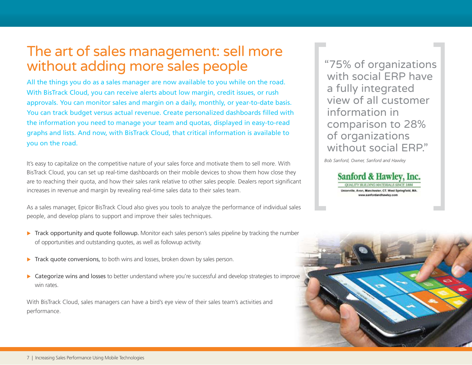### The art of sales management: sell more without adding more sales people

All the things you do as a sales manager are now available to you while on the road. With BisTrack Cloud, you can receive alerts about low margin, credit issues, or rush approvals. You can monitor sales and margin on a daily, monthly, or year-to-date basis. You can track budget versus actual revenue. Create personalized dashboards filled with the information you need to manage your team and quotas, displayed in easy-to-read graphs and lists. And now, with BisTrack Cloud, that critical information is available to you on the road.

It's easy to capitalize on the competitive nature of your sales force and motivate them to sell more. With BisTrack Cloud, you can set up real-time dashboards on their mobile devices to show them how close they are to reaching their quota, and how their sales rank relative to other sales people. Dealers report significant increases in revenue and margin by revealing real-time sales data to their sales team.

As a sales manager, Epicor BisTrack Cloud also gives you tools to analyze the performance of individual sales people, and develop plans to support and improve their sales techniques.

- $\triangleright$  Track opportunity and quote followup. Monitor each sales person's sales pipeline by tracking the number of opportunities and outstanding quotes, as well as followup activity.
- $\triangleright$  Track quote conversions, to both wins and losses, broken down by sales person.
- ▶ Categorize wins and losses to better understand where you're successful and develop strategies to improve win rates.

With BisTrack Cloud, sales managers can have a bird's eye view of their sales team's activities and performance.

"75% of organizations with social ERP have a fully integrated view of all customer information in comparison to 28% of organizations without social **ERP.**"

*Bob Sanford, Owner, Sanford and Hawley*



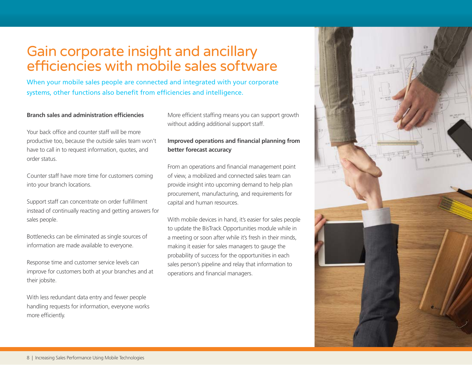# Gain corporate insight and ancillary efficiencies with mobile sales software

When your mobile sales people are connected and integrated with your corporate systems, other functions also benefit from efficiencies and intelligence.

#### **Branch sales and administration efficiencies**

Your back office and counter staff will be more productive too, because the outside sales team won't have to call in to request information, quotes, and order status.

Counter staff have more time for customers coming into your branch locations.

Support staff can concentrate on order fulfillment instead of continually reacting and getting answers for sales people.

Bottlenecks can be eliminated as single sources of information are made available to everyone.

Response time and customer service levels can improve for customers both at your branches and at their jobsite.

With less redundant data entry and fewer people handling requests for information, everyone works more efficiently.

More efficient staffing means you can support growth without adding additional support staff.

#### **Improved operations and financial planning from better forecast accuracy**

From an operations and financial management point of view, a mobilized and connected sales team can provide insight into upcoming demand to help plan procurement, manufacturing, and requirements for capital and human resources.

With mobile devices in hand, it's easier for sales people to update the BisTrack Opportunities module while in a meeting or soon after while it's fresh in their minds, making it easier for sales managers to gauge the probability of success for the opportunities in each sales person's pipeline and relay that information to operations and financial managers.

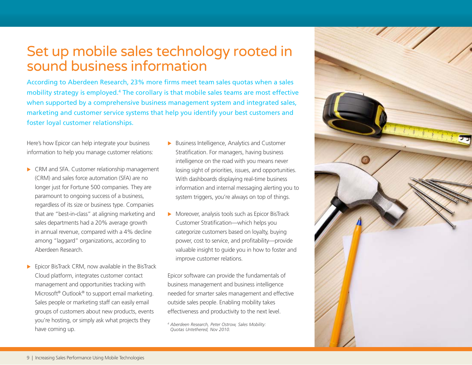### Set up mobile sales technology rooted in sound business information

According to Aberdeen Research, 23% more firms meet team sales quotas when a sales mobility strategy is employed.<sup>4</sup> The corollary is that mobile sales teams are most effective when supported by a comprehensive business management system and integrated sales, marketing and customer service systems that help you identify your best customers and foster loyal customer relationships.

Here's how Epicor can help integrate your business information to help you manage customer relations:

- $\triangleright$  CRM and SFA. Customer relationship management (CRM) and sales force automation (SFA) are no longer just for Fortune 500 companies. They are paramount to ongoing success of a business, regardless of its size or business type. Companies that are "best-in-class" at aligning marketing and sales departments had a 20% average growth in annual revenue, compared with a 4% decline among "laggard" organizations, according to Aberdeen Research.
- $\blacktriangleright$  Epicor BisTrack CRM, now available in the BisTrack Cloud platform, integrates customer contact management and opportunities tracking with Microsoft® Outlook® to support email marketing. Sales people or marketing staff can easily email groups of customers about new products, events you're hosting, or simply ask what projects they have coming up.
- $\blacktriangleright$  Business Intelligence, Analytics and Customer Stratification. For managers, having business intelligence on the road with you means never losing sight of priorities, issues, and opportunities. With dashboards displaying real-time business information and internal messaging alerting you to system triggers, you're always on top of things.
- $\blacktriangleright$  Moreover, analysis tools such as Epicor BisTrack Customer Stratification—which helps you categorize customers based on loyalty, buying power, cost to service, and profitability—provide valuable insight to guide you in how to foster and improve customer relations.

Epicor software can provide the fundamentals of business management and business intelligence needed for smarter sales management and effective outside sales people. Enabling mobility takes effectiveness and productivity to the next level.



*<sup>4</sup> Aberdeen Research, Peter Ostrow, Sales Mobility: Quotas Untethered, Nov 2010.*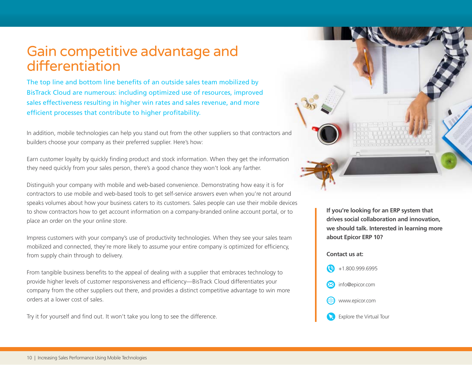#### Gain competitive advantage and differentiation

The top line and bottom line benefits of an outside sales team mobilized by BisTrack Cloud are numerous: including optimized use of resources, improved sales effectiveness resulting in higher win rates and sales revenue, and more efficient processes that contribute to higher profitability.

In addition, mobile technologies can help you stand out from the other suppliers so that contractors and builders choose your company as their preferred supplier. Here's how:

Earn customer loyalty by quickly finding product and stock information. When they get the information they need quickly from your sales person, there's a good chance they won't look any farther.

Distinguish your company with mobile and web-based convenience. Demonstrating how easy it is for contractors to use mobile and web-based tools to get self-service answers even when you're not around speaks volumes about how your business caters to its customers. Sales people can use their mobile devices to show contractors how to get account information on a company-branded online account portal, or to place an order on the your online store.

Impress customers with your company's use of productivity technologies. When they see your sales team mobilized and connected, they're more likely to assume your entire company is optimized for efficiency, from supply chain through to delivery.

From tangible business benefits to the appeal of dealing with a supplier that embraces technology to provide higher levels of customer responsiveness and efficiency—BisTrack Cloud differentiates your company from the other suppliers out there, and provides a distinct competitive advantage to win more orders at a lower cost of sales.

Try it for yourself and find out. It won't take you long to see the difference.



**If you're looking for an ERP system that drives social collaboration and innovation, we should talk. Interested in learning more about Epicor ERP 10?** 

#### **Contact us at:**



Explore the Virtual Tour